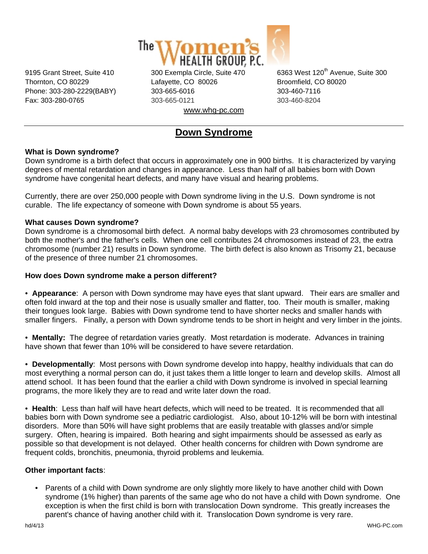

Thornton, CO 80229 Lafayette, CO 80026 Broomfield, CO 80020 Phone: 303-280-2229(BABY) 303-665-6016 303-460-7116 Fax: 303-280-0765 303-665-0121 303-460-8204 www.whg-pc.com

9195 Grant Street, Suite 410 300 Exempla Circle, Suite 470 6363 West 120<sup>th</sup> Avenue, Suite 300

# **Down Syndrome**

## **What is Down syndrome?**

Down syndrome is a birth defect that occurs in approximately one in 900 births. It is characterized by varying degrees of mental retardation and changes in appearance. Less than half of all babies born with Down syndrome have congenital heart defects, and many have visual and hearing problems.

Currently, there are over 250,000 people with Down syndrome living in the U.S. Down syndrome is not curable. The life expectancy of someone with Down syndrome is about 55 years.

### **What causes Down syndrome?**

Down syndrome is a chromosomal birth defect. A normal baby develops with 23 chromosomes contributed by both the mother's and the father's cells. When one cell contributes 24 chromosomes instead of 23, the extra chromosome (number 21) results in Down syndrome. The birth defect is also known as Trisomy 21, because of the presence of three number 21 chromosomes.

### **How does Down syndrome make a person different?**

• **Appearance**: A person with Down syndrome may have eyes that slant upward. Their ears are smaller and often fold inward at the top and their nose is usually smaller and flatter, too. Their mouth is smaller, making their tongues look large. Babies with Down syndrome tend to have shorter necks and smaller hands with smaller fingers. Finally, a person with Down syndrome tends to be short in height and very limber in the joints.

• **Mentally:** The degree of retardation varies greatly. Most retardation is moderate. Advances in training have shown that fewer than 10% will be considered to have severe retardation.

• **Developmentally**: Most persons with Down syndrome develop into happy, healthy individuals that can do most everything a normal person can do, it just takes them a little longer to learn and develop skills. Almost all attend school. It has been found that the earlier a child with Down syndrome is involved in special learning programs, the more likely they are to read and write later down the road.

• **Health**: Less than half will have heart defects, which will need to be treated. It is recommended that all babies born with Down syndrome see a pediatric cardiologist. Also, about 10-12% will be born with intestinal disorders. More than 50% will have sight problems that are easily treatable with glasses and/or simple surgery. Often, hearing is impaired. Both hearing and sight impairments should be assessed as early as possible so that development is not delayed. Other health concerns for children with Down syndrome are frequent colds, bronchitis, pneumonia, thyroid problems and leukemia.

### **Other important facts**:

• Parents of a child with Down syndrome are only slightly more likely to have another child with Down syndrome (1% higher) than parents of the same age who do not have a child with Down syndrome. One exception is when the first child is born with translocation Down syndrome. This greatly increases the parent's chance of having another child with it. Translocation Down syndrome is very rare.